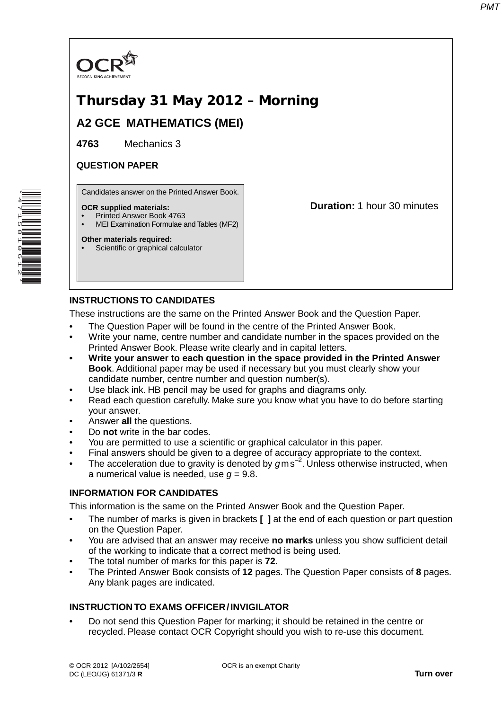

# Thursday 31 May 2012 – Morning **A2 GCE MATHEMATICS (MEI)**

**4763** Mechanics 3

#### **QUESTION PAPER**

Candidates answer on the Printed Answer Book.

#### **OCR supplied materials:**

- Printed Answer Book 4763
- MEI Examination Formulae and Tables (MF2)

#### **Other materials required:**

Scientific or graphical calculator

**Duration:** 1 hour 30 minutes

#### **INSTRUCTIONS TO CANDIDATES**

These instructions are the same on the Printed Answer Book and the Question Paper.

- The Question Paper will be found in the centre of the Printed Answer Book.
- Write your name, centre number and candidate number in the spaces provided on the Printed Answer Book. Please write clearly and in capital letters.
- **Write your answer to each question in the space provided in the Printed Answer Book**. Additional paper may be used if necessary but you must clearly show your candidate number, centre number and question number(s).
- Use black ink. HB pencil may be used for graphs and diagrams only.
- Read each question carefully. Make sure you know what you have to do before starting your answer.
- Answer **all** the questions.
- Do **not** write in the bar codes.
- You are permitted to use a scientific or graphical calculator in this paper.
- Final answers should be given to a degree of accuracy appropriate to the context.
- The acceleration due to gravity is denoted by  $g$ ms<sup>-2</sup>. Unless otherwise instructed, when a numerical value is needed, use  $q = 9.8$ .

#### **INFORMATION FOR CANDIDATES**

This information is the same on the Printed Answer Book and the Question Paper.

- The number of marks is given in brackets **[ ]** at the end of each question or part question on the Question Paper.
- You are advised that an answer may receive **no marks** unless you show sufficient detail of the working to indicate that a correct method is being used.
- The total number of marks for this paper is **72**.
- The Printed Answer Book consists of **12** pages. The Question Paper consists of **8** pages. Any blank pages are indicated.

## **INSTRUCTION TO EXAMS OFFICER / INVIGILATOR**

• Do not send this Question Paper for marking; it should be retained in the centre or recycled. Please contact OCR Copyright should you wish to re-use this document.

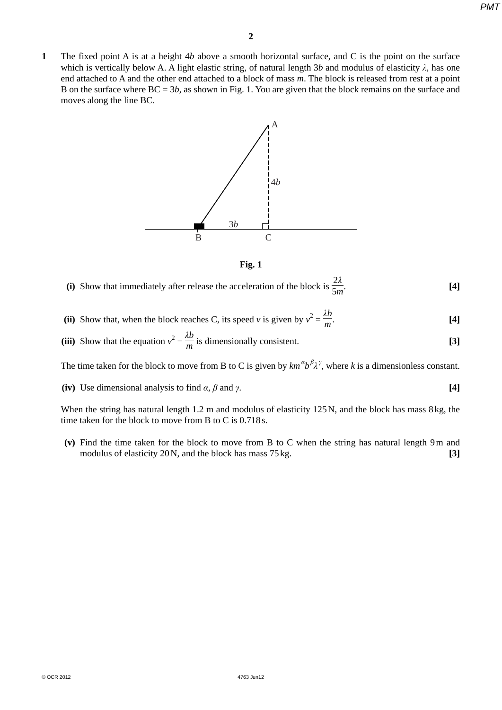**1** The fixed point A is at a height 4*b* above a smooth horizontal surface, and C is the point on the surface which is vertically below A. A light elastic string, of natural length 3*b* and modulus of elasticity *λ*, has one end attached to A and the other end attached to a block of mass *m*. The block is released from rest at a point B on the surface where  $BC = 3b$ , as shown in Fig. 1. You are given that the block remains on the surface and moves along the line BC.



**Fig. 1**

- **(i)** Show that immediately after release the acceleration of the block is  $\frac{2\lambda}{5m}$ .  $\frac{2\pi}{5m}$ . [4]
- **(ii)** Show that, when the block reaches C, its speed *v* is given by  $v^2 = \frac{\lambda b}{m}$  $\frac{1}{m}$  [4]
- (iii) Show that the equation  $v^2 = \frac{\lambda b}{m}$  is dimensionally consistent. [3]

The time taken for the block to move from B to C is given by  $km^{\alpha}b^{\beta}\lambda^{\gamma}$ , where k is a dimensionless constant.

**(iv)** Use dimensional analysis to find  $\alpha$ ,  $\beta$  and  $\gamma$ . **[4]** 

When the string has natural length 1.2 m and modulus of elasticity 125 N, and the block has mass 8 kg, the time taken for the block to move from B to C is 0.718 s.

 **(v)** Find the time taken for the block to move from B to C when the string has natural length 9 m and modulus of elasticity 20 N, and the block has mass 75 kg. **[3]**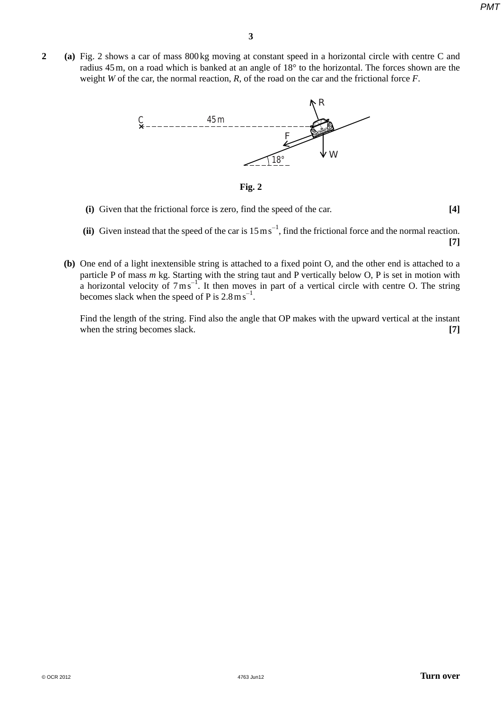**2 (a)** Fig. 2 shows a car of mass 800 kg moving at constant speed in a horizontal circle with centre C and radius 45 m, on a road which is banked at an angle of 18° to the horizontal. The forces shown are the weight *W* of the car, the normal reaction, *R*, of the road on the car and the frictional force *F*.



**Fig. 2**

- **(i)** Given that the frictional force is zero, find the speed of the car. **[4]**
- **(ii)** Given instead that the speed of the car is  $15 \text{ m s}^{-1}$ , find the frictional force and the normal reaction. **[7]**
	- **(b)** One end of a light inextensible string is attached to a fixed point O, and the other end is attached to a particle P of mass *m* kg. Starting with the string taut and P vertically below O, P is set in motion with a horizontal velocity of  $7 \text{ m s}^{-1}$ . It then moves in part of a vertical circle with centre O. The string becomes slack when the speed of P is  $2.8 \text{ m s}^{-1}$ .

Find the length of the string. Find also the angle that OP makes with the upward vertical at the instant when the string becomes slack. **[7]**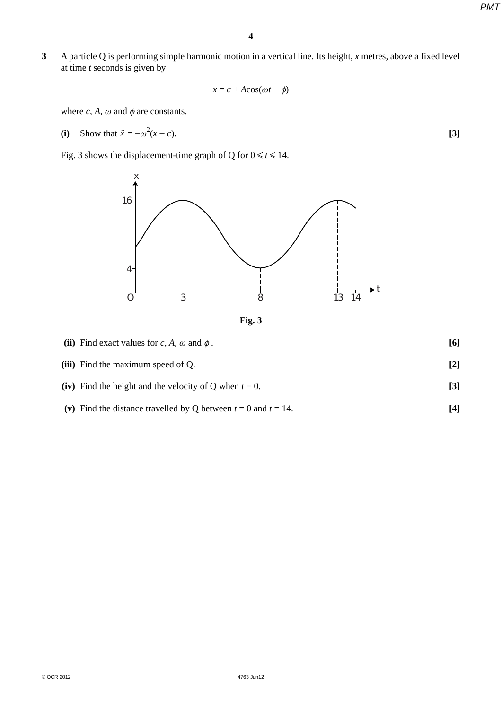**3** A particle Q is performing simple harmonic motion in a vertical line. Its height, *x* metres, above a fixed level at time *t* seconds is given by

$$
x = c + A\cos(\omega t - \phi)
$$

where  $c, A, \omega$  and  $\phi$  are constants.

- **(i)** Show that  $\ddot{x} = -\omega^2$  $(x - c)$ . **[3]** 
	- Fig. 3 shows the displacement-time graph of Q for  $0 \le t \le 14$ .





**(ii)** Find exact values for *c*, *A*,  $\omega$  and  $\phi$ . [6]  **(iii)** Find the maximum speed of Q. **[2] (iv)** Find the height and the velocity of Q when  $t = 0$ . **[3]** 

**(v)** Find the distance travelled by Q between  $t = 0$  and  $t = 14$ . **[4]**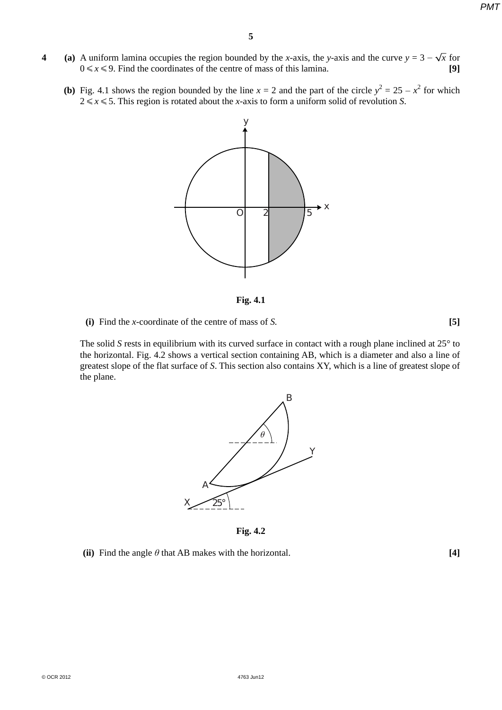- **4** (a) A uniform lamina occupies the region bounded by the *x*-axis, the *y*-axis and the curve  $y = 3 \sqrt{x}$  for  $0 \le x \le 9$ . Find the coordinates of the centre of mass of this lamina. **[9]**
- **(b)** Fig. 4.1 shows the region bounded by the line  $x = 2$  and the part of the circle  $y^2 = 25 x^2$  for which  $2 \le x \le 5$ . This region is rotated about the *x*-axis to form a uniform solid of revolution *S*.



**Fig. 4.1**

 **(i)** Find the *x-*coordinate of the centre of mass of *S.* **[5]**

The solid *S* rests in equilibrium with its curved surface in contact with a rough plane inclined at 25° to the horizontal. Fig. 4.2 shows a vertical section containing AB, which is a diameter and also a line of greatest slope of the flat surface of *S*. This section also contains XY, which is a line of greatest slope of the plane.



**Fig. 4.2**

**(ii)** Find the angle  $\theta$  that AB makes with the horizontal. **[4]**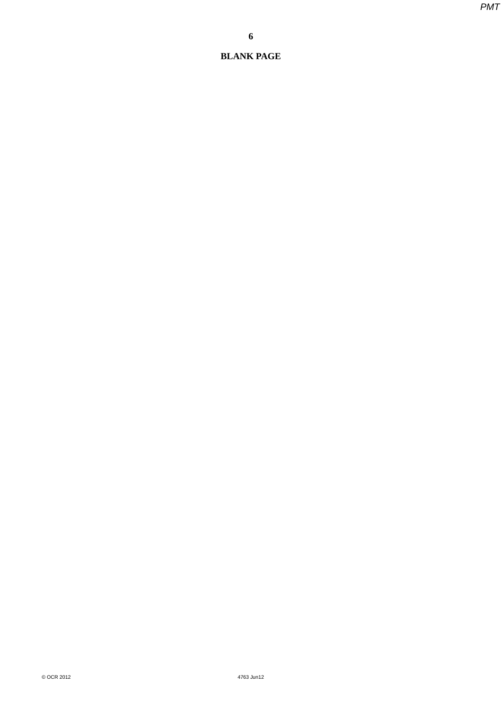# $\boldsymbol{6}$

## **BLANK PAGE**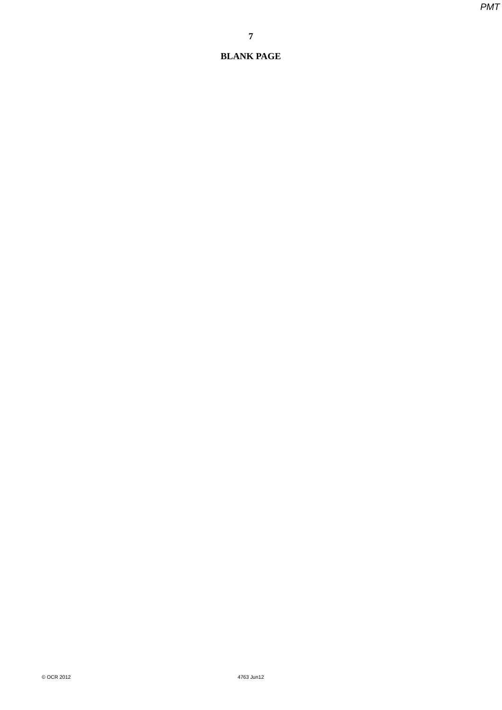## **BLANK PAGE**